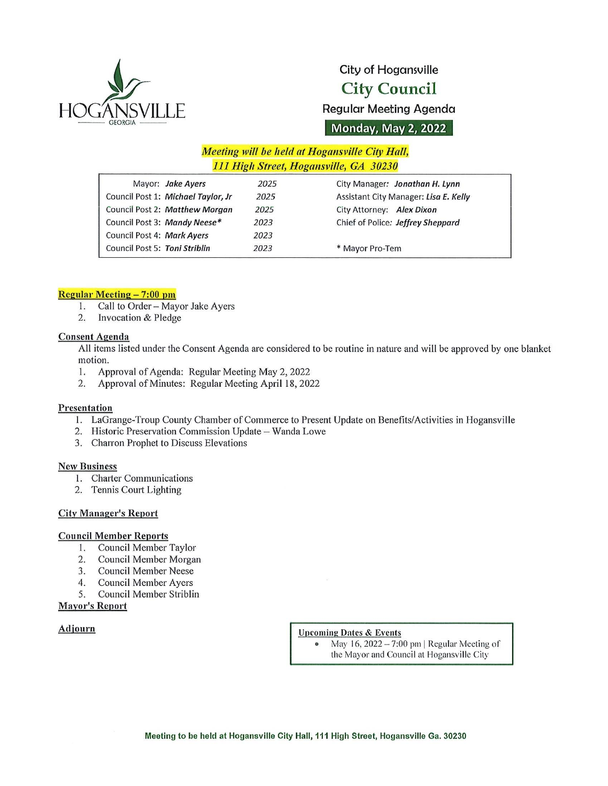

# City of Hogansville City Council

Regular Meeting Agenda

Monday, May 2, 2022

# Meeting will be held at Hogansville City Hall, 111 High Street, Hogansville, GA 30230

| Mayor: Jake Ayers                  | 2025 | City Manager: Jonathan H. Lynn        |
|------------------------------------|------|---------------------------------------|
| Council Post 1: Michael Taylor, Jr | 2025 | Assistant City Manager: Lisa E. Kelly |
| Council Post 2: Matthew Morgan     | 2025 | City Attorney: Alex Dixon             |
| Council Post 3: Mandy Neese*       | 2023 | Chief of Police: Jeffrey Sheppard     |
| Council Post 4: Mark Ayers         | 2023 |                                       |
| Council Post 5: Toni Striblin      | 2023 | * Mayor Pro-Tem                       |

#### Regular Meeting — 7: 00 pm

- 1. Call to Order Mayor Jake Ayers<br>2. Invocation & Pledge
- Invocation & Pledge

#### Consent Agenda

All items listed under the Consent Agenda are considered to be routine in nature and will be approved by one blanket motion.

- 1. Approval of Agenda: Regular Meeting May 2, 2022<br>2. Approval of Minutes: Regular Meeting April 18, 202
- 2. Approval of Minutes: Regular Meeting April 18, <sup>2022</sup>

#### Presentation

- 1. LaGrange -Troup County Chamber of Commerce to Present Update on Benefits/ Activities in Hogansville
- 2. Historic Preservation Commission Update Wanda Lowe
- 3. Charron Prophet to Discuss Elevations

#### New Business

- 1. Charter Communications
- 2. Tennis Court Lighting

#### **City Manager's Report**

#### Council Member Reports

- 1. Council Member Taylor<br>2. Council Member Morga
- 2. Council Member Morgan<br>3. Council Member Neese
- 3. Council Member Neese
- 4. Council Member Ayers<br>5. Council Member Stribli
- 5. Council Member Striblin

#### Mayor's Report

# Adjourn Upcoming Dates & Events

May 16,  $2022 - 7:00$  pm | Regular Meeting of the Mayor and Council at Hogansville City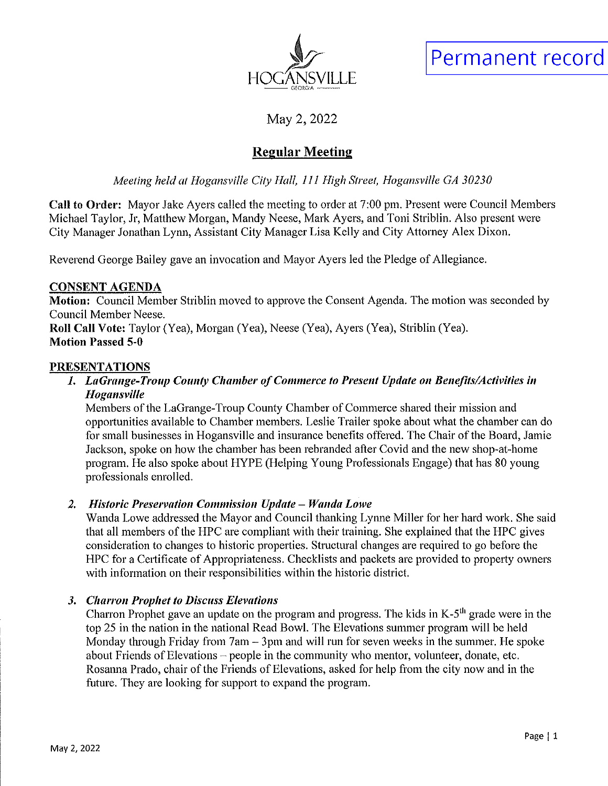

Permanent record

May 2, <sup>2022</sup>

# Regular Meeting

Meeting held at Hogansville City Hall, <sup>111</sup> High Street, Hogansville GA 30230

Call to Order: Mayor Jake Ayers called the meeting to order at 7: 00 pm. Present were Council Members Michael Taylor, Jr, Matthew Morgan, Mandy Neese, Mark Ayers, and Toni Striblin. Also present were City Manager Jonathan Lynn, Assistant City Manager Lisa Kelly and City Attorney Alex Dixon.

Reverend George Bailey gave an invocation and Mayor Ayers led the Pledge of Allegiance.

# CONSENT AGENDA

Motion: Council Member Striblin moved to approve the Consent Agenda. The motion was seconded by Council Member Neese.

Roll Call Vote: Taylor (Yea), Morgan (Yea), Neese (Yea), Ayers (Yea), Striblin (Yea). Motion Passed 5-0

# **PRESENTATIONS**

# 1. LaGrange - Troup County Chamber of Commerce to Present Update on Benefits/ Activities in Hogansville

Members of the LaGrange -Troup County Chamber of Commerce shared their mission and opportunities available to Chamber members. Leslie Trailer spoke about what the chamber can do for small businesses in Hogansville and insurance benefits offered. The Chair of the Board, Jamie Jackson, spoke on how the chamber has been rebranded after Covid and the new shop-at-home program. He also spoke about HYPE ( Helping Young Professionals Engage) that has 80 young professionals enrolled.

# 2. Historic Preservation Commission Update — Wanda Lowe

Wanda Lowe addressed the Mayor and Council thanking Lynne Miller for her hard work. She said that all members of the HPC are compliant with their training. She explained that the HPC gives consideration to changes to historic properties. Structural changes are required to go before the HPC for <sup>a</sup> Certificate of Appropriateness. Checklists and packets are provided to property owners with information on their responsibilities within the historic district.

# 3. Charron Prophet to Discuss Elevations

Charron Prophet gave an update on the program and progress. The kids in K-5<sup>th</sup> grade were in the top <sup>25</sup> in the nation in the national Read Bowl. The Elevations summer program will be held Monday through Friday from 7am — 3pm and will run for seven weeks in the summer. He spoke about Friends of Elevations  $-$  people in the community who mentor, volunteer, donate, etc. Rosanna Prado, chair of the Friends of Elevations, asked for help from the city now and in the future. They are looking for support to expand the program.